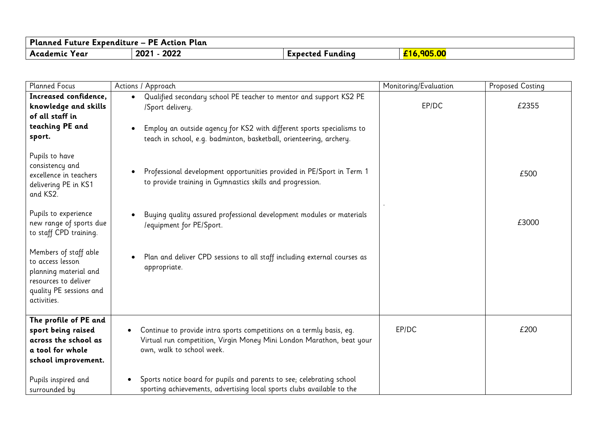| Planned Future Expenditure – PE Action Plan |              |                     |                      |
|---------------------------------------------|--------------|---------------------|----------------------|
| Academic<br>'Y ear                          | 2022<br>2021 | runding<br>Expected | <mark>,905.00</mark> |

| <b>Planned Focus</b>                                                                                                                 | Actions / Approach                                                                                                                                                                                                                     | Monitoring/Evaluation | <b>Proposed Costing</b> |
|--------------------------------------------------------------------------------------------------------------------------------------|----------------------------------------------------------------------------------------------------------------------------------------------------------------------------------------------------------------------------------------|-----------------------|-------------------------|
| Increased confidence,<br>knowledge and skills<br>of all staff in<br>teaching PE and<br>sport.                                        | Qualified secondary school PE teacher to mentor and support KS2 PE<br>/Sport delivery.<br>Employ an outside agency for KS2 with different sports specialisms to<br>teach in school, e.g. badminton, basketball, orienteering, archery. | EP/DC                 | £2355                   |
| Pupils to have<br>consistency and<br>excellence in teachers<br>delivering PE in KS1<br>and KS2.                                      | Professional development opportunities provided in PE/Sport in Term 1<br>$\bullet$<br>to provide training in Gymnastics skills and progression.                                                                                        |                       | £500                    |
| Pupils to experience<br>new range of sports due<br>to staff CPD training.                                                            | Buying quality assured professional development modules or materials<br>/equipment for PE/Sport.                                                                                                                                       |                       | £3000                   |
| Members of staff able<br>to access lesson<br>planning material and<br>resources to deliver<br>quality PE sessions and<br>activities. | Plan and deliver CPD sessions to all staff including external courses as<br>appropriate.                                                                                                                                               |                       |                         |
| The profile of PE and<br>sport being raised<br>across the school as<br>a tool for whole<br>school improvement.                       | Continue to provide intra sports competitions on a termly basis, eq.<br>Virtual run competition, Virgin Money Mini London Marathon, beat your<br>own, walk to school week.                                                             | EP/DC                 | £200                    |
| Pupils inspired and<br>surrounded by                                                                                                 | Sports notice board for pupils and parents to see; celebrating school<br>sporting achievements, advertising local sports clubs available to the                                                                                        |                       |                         |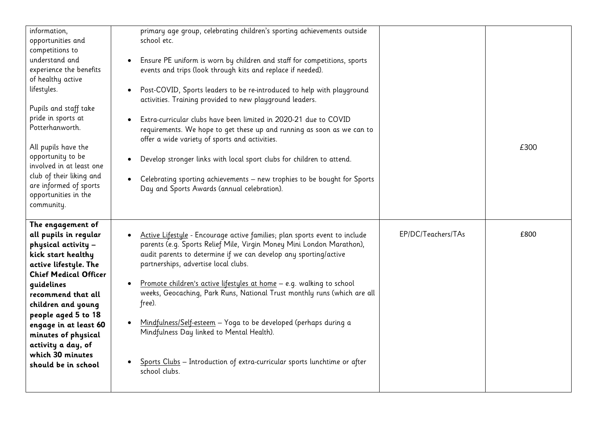| information,<br>opportunities and<br>competitions to<br>understand and<br>experience the benefits<br>of healthy active<br>lifestyles.<br>Pupils and staff take<br>pride in sports at<br>Potterhanworth.<br>All pupils have the<br>opportunity to be<br>involved in at least one<br>club of their liking and<br>are informed of sports<br>opportunities in the<br>community. | primary age group, celebrating children's sporting achievements outside<br>school etc.<br>Ensure PE uniform is worn by children and staff for competitions, sports<br>$\bullet$<br>events and trips (look through kits and replace if needed).<br>Post-COVID, Sports leaders to be re-introduced to help with playground<br>activities. Training provided to new playground leaders.<br>Extra-curricular clubs have been limited in 2020-21 due to COVID<br>requirements. We hope to get these up and running as soon as we can to<br>offer a wide variety of sports and activities.<br>Develop stronger links with local sport clubs for children to attend.<br>Celebrating sporting achievements - new trophies to be bought for Sports<br>Day and Sports Awards (annual celebration). |                    | £300 |
|-----------------------------------------------------------------------------------------------------------------------------------------------------------------------------------------------------------------------------------------------------------------------------------------------------------------------------------------------------------------------------|------------------------------------------------------------------------------------------------------------------------------------------------------------------------------------------------------------------------------------------------------------------------------------------------------------------------------------------------------------------------------------------------------------------------------------------------------------------------------------------------------------------------------------------------------------------------------------------------------------------------------------------------------------------------------------------------------------------------------------------------------------------------------------------|--------------------|------|
| The engagement of<br>all pupils in regular<br>physical activity -<br>kick start healthy<br>active lifestyle. The<br><b>Chief Medical Officer</b><br>guidelines<br>recommend that all<br>children and young<br>people aged 5 to 18<br>engage in at least 60<br>minutes of physical<br>activity a day, of<br>which 30 minutes<br>should be in school                          | Active Lifestyle - Encourage active families; plan sports event to include<br>parents (e.g. Sports Relief Mile, Virgin Money Mini London Marathon),<br>audit parents to determine if we can develop any sporting/active<br>partnerships, advertise local clubs.<br>Promote children's active lifestyles at home - e.g. walking to school<br>weeks, Geocaching, Park Runs, National Trust monthly runs (which are all<br>free).<br>Mindfulness/Self-esteem - Yoga to be developed (perhaps during a<br>Mindfulness Day linked to Mental Health).<br>Sports Clubs - Introduction of extra-curricular sports lunchtime or after<br>school clubs.                                                                                                                                            | EP/DC/Teachers/TAs | £800 |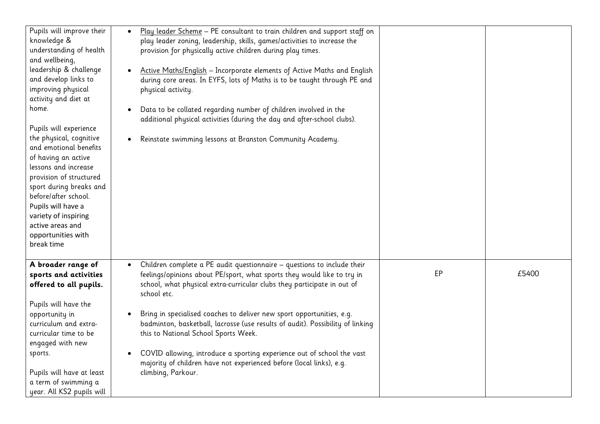| Pupils will improve their<br>knowledge &<br>understanding of health<br>and wellbeing,<br>leadership & challenge<br>and develop links to<br>improving physical<br>activity and diet at<br>home.<br>Pupils will experience<br>the physical, cognitive<br>and emotional benefits<br>of having an active<br>lessons and increase<br>provision of structured<br>sport during breaks and<br>before/after school.<br>Pupils will have a<br>variety of inspiring<br>active areas and<br>opportunities with<br>break time | Play leader Scheme - PE consultant to train children and support staff on<br>$\bullet$<br>play leader zoning, leadership, skills, games/activities to increase the<br>provision for physically active children during play times.<br>Active Maths/English - Incorporate elements of Active Maths and English<br>during core areas. In EYFS, lots of Maths is to be taught through PE and<br>physical activity.<br>Data to be collated regarding number of children involved in the<br>additional physical activities (during the day and after-school clubs).<br>Reinstate swimming lessons at Branston Community Academy.           |    |       |
|------------------------------------------------------------------------------------------------------------------------------------------------------------------------------------------------------------------------------------------------------------------------------------------------------------------------------------------------------------------------------------------------------------------------------------------------------------------------------------------------------------------|--------------------------------------------------------------------------------------------------------------------------------------------------------------------------------------------------------------------------------------------------------------------------------------------------------------------------------------------------------------------------------------------------------------------------------------------------------------------------------------------------------------------------------------------------------------------------------------------------------------------------------------|----|-------|
| A broader range of<br>sports and activities<br>offered to all pupils.<br>Pupils will have the<br>opportunity in<br>curriculum and extra-<br>curricular time to be<br>engaged with new<br>sports.<br>Pupils will have at least<br>a term of swimming a<br>year. All KS2 pupils will                                                                                                                                                                                                                               | Children complete a PE audit questionnaire - questions to include their<br>$\bullet$<br>feelings/opinions about PE/sport, what sports they would like to try in<br>school, what physical extra-curricular clubs they participate in out of<br>school etc.<br>Bring in specialised coaches to deliver new sport opportunities, e.g.<br>badminton, basketball, lacrosse (use results of audit). Possibility of linking<br>this to National School Sports Week.<br>COVID allowing, introduce a sporting experience out of school the vast<br>majority of children have not experienced before (local links), e.g.<br>climbing, Parkour. | EP | £5400 |